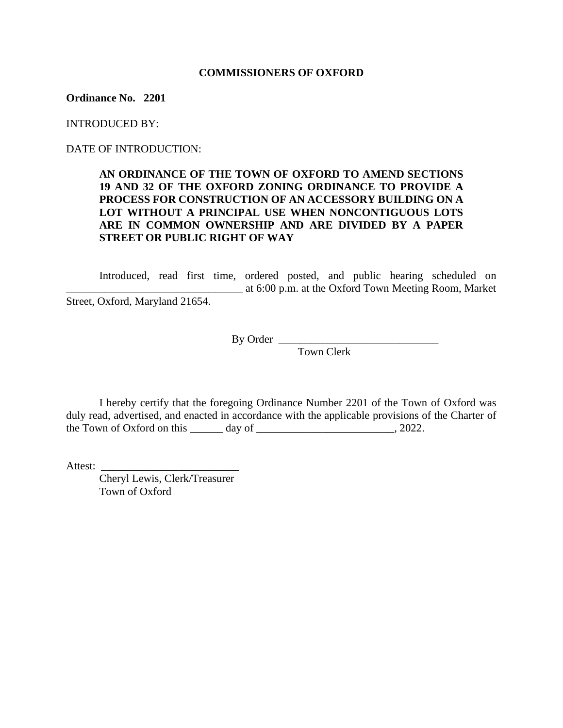### **COMMISSIONERS OF OXFORD**

**Ordinance No. 2201**

INTRODUCED BY:

DATE OF INTRODUCTION:

## **AN ORDINANCE OF THE TOWN OF OXFORD TO AMEND SECTIONS 19 AND 32 OF THE OXFORD ZONING ORDINANCE TO PROVIDE A PROCESS FOR CONSTRUCTION OF AN ACCESSORY BUILDING ON A LOT WITHOUT A PRINCIPAL USE WHEN NONCONTIGUOUS LOTS ARE IN COMMON OWNERSHIP AND ARE DIVIDED BY A PAPER STREET OR PUBLIC RIGHT OF WAY**

Introduced, read first time, ordered posted, and public hearing scheduled on \_\_\_\_\_\_\_\_\_\_\_\_\_\_\_\_\_\_\_\_\_\_\_\_\_\_\_\_\_\_\_\_ at 6:00 p.m. at the Oxford Town Meeting Room, Market Street, Oxford, Maryland 21654.

By Order  $\frac{1}{\sqrt{n}}$ 

Town Clerk

I hereby certify that the foregoing Ordinance Number 2201 of the Town of Oxford was duly read, advertised, and enacted in accordance with the applicable provisions of the Charter of the Town of Oxford on this  $\_\_\_\_\_\$  day of  $\_\_\_\_\_\_\_\_\_\_\_\_\_$ , 2022.

Attest:

Cheryl Lewis, Clerk/Treasurer Town of Oxford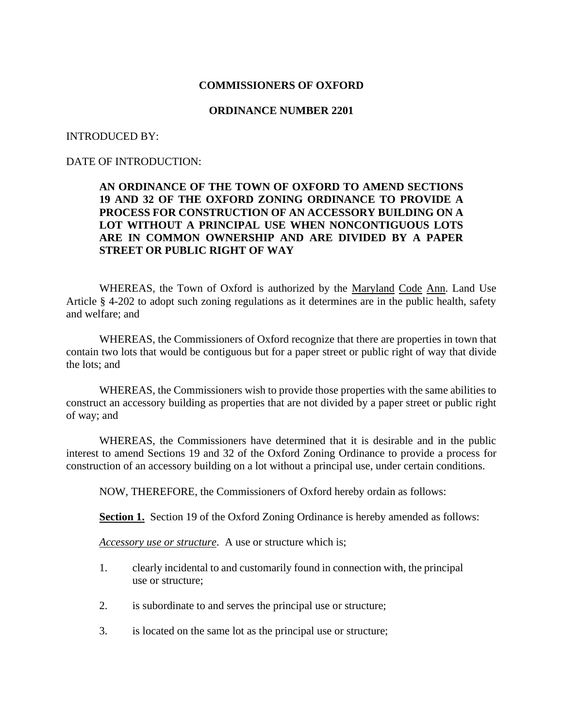### **COMMISSIONERS OF OXFORD**

### **ORDINANCE NUMBER 2201**

#### INTRODUCED BY:

## DATE OF INTRODUCTION:

## **AN ORDINANCE OF THE TOWN OF OXFORD TO AMEND SECTIONS 19 AND 32 OF THE OXFORD ZONING ORDINANCE TO PROVIDE A PROCESS FOR CONSTRUCTION OF AN ACCESSORY BUILDING ON A LOT WITHOUT A PRINCIPAL USE WHEN NONCONTIGUOUS LOTS ARE IN COMMON OWNERSHIP AND ARE DIVIDED BY A PAPER STREET OR PUBLIC RIGHT OF WAY**

WHEREAS, the Town of Oxford is authorized by the Maryland Code Ann. Land Use Article § 4-202 to adopt such zoning regulations as it determines are in the public health, safety and welfare; and

WHEREAS, the Commissioners of Oxford recognize that there are properties in town that contain two lots that would be contiguous but for a paper street or public right of way that divide the lots; and

WHEREAS, the Commissioners wish to provide those properties with the same abilities to construct an accessory building as properties that are not divided by a paper street or public right of way; and

WHEREAS, the Commissioners have determined that it is desirable and in the public interest to amend Sections 19 and 32 of the Oxford Zoning Ordinance to provide a process for construction of an accessory building on a lot without a principal use, under certain conditions.

NOW, THEREFORE, the Commissioners of Oxford hereby ordain as follows:

**Section 1.** Section 19 of the Oxford Zoning Ordinance is hereby amended as follows:

*Accessory use or structure*. A use or structure which is;

- 1. clearly incidental to and customarily found in connection with, the principal use or structure;
- 2. is subordinate to and serves the principal use or structure;
- 3. is located on the same lot as the principal use or structure;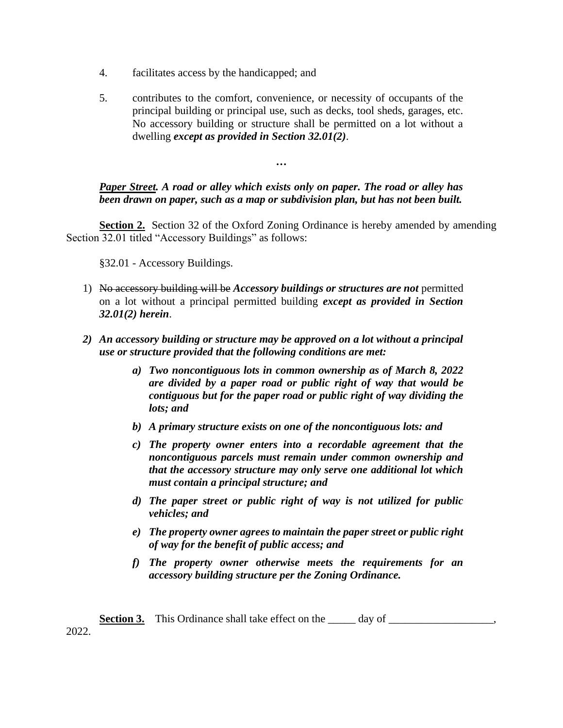- 4. facilitates access by the handicapped; and
- 5. contributes to the comfort, convenience, or necessity of occupants of the principal building or principal use, such as decks, tool sheds, garages, etc. No accessory building or structure shall be permitted on a lot without a dwelling *except as provided in Section 32.01(2)*.

*…*

# *Paper Street. A road or alley which exists only on paper. The road or alley has been drawn on paper, such as a map or subdivision plan, but has not been built.*

**Section 2.** Section 32 of the Oxford Zoning Ordinance is hereby amended by amending Section 32.01 titled "Accessory Buildings" as follows:

§32.01 - Accessory Buildings.

- 1) No accessory building will be *Accessory buildings or structures are not* permitted on a lot without a principal permitted building *except as provided in Section 32.01(2) herein*.
- *2) An accessory building or structure may be approved on a lot without a principal use or structure provided that the following conditions are met:*
	- *a) Two noncontiguous lots in common ownership as of March 8, 2022 are divided by a paper road or public right of way that would be contiguous but for the paper road or public right of way dividing the lots; and*
	- *b) A primary structure exists on one of the noncontiguous lots: and*
	- *c) The property owner enters into a recordable agreement that the noncontiguous parcels must remain under common ownership and that the accessory structure may only serve one additional lot which must contain a principal structure; and*
	- *d) The paper street or public right of way is not utilized for public vehicles; and*
	- *e) The property owner agrees to maintain the paper street or public right of way for the benefit of public access; and*
	- *f) The property owner otherwise meets the requirements for an accessory building structure per the Zoning Ordinance.*